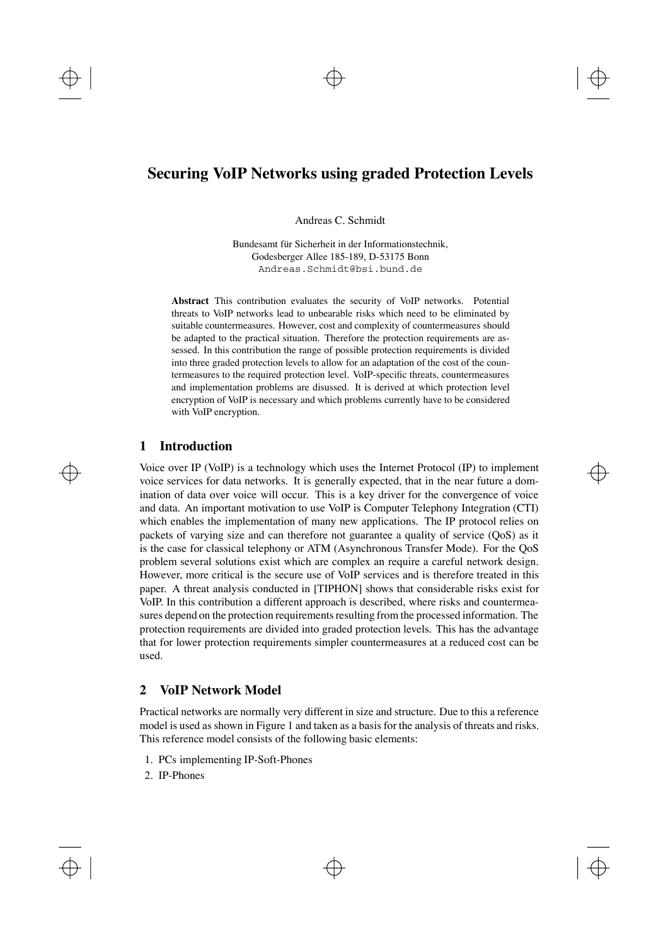# **Securing VoIP Networks using graded Protection Levels**

Andreas C. Schmidt

Bundesamt für Sicherheit in der Informationstechnik, Godesberger Allee 185-189, D-53175 Bonn Andreas.Schmidt@bsi.bund.de

**Abstract** This contribution evaluates the security of VoIP networks. Potential threats to VoIP networks lead to unbearable risks which need to be eliminated by suitable countermeasures. However, cost and complexity of countermeasures should be adapted to the practical situation. Therefore the protection requirements are assessed. In this contribution the range of possible protection requirements is divided into three graded protection levels to allow for an adaptation of the cost of the countermeasures to the required protection level. VoIP-specific threats, countermeasures and implementation problems are disussed. It is derived at which protection level encryption of VoIP is necessary and which problems currently have to be considered with VoIP encryption.

#### **1 Introduction**

Voice over IP (VoIP) is a technology which uses the Internet Protocol (IP) to implement voice services for data networks. It is generally expected, that in the near future a domination of data over voice will occur. This is a key driver for the convergence of voice and data. An important motivation to use VoIP is Computer Telephony Integration (CTI) which enables the implementation of many new applications. The IP protocol relies on packets of varying size and can therefore not guarantee a quality of service (QoS) as it is the case for classical telephony or ATM (Asynchronous Transfer Mode). For the QoS problem several solutions exist which are complex an require a careful network design. However, more critical is the secure use of VoIP services and is therefore treated in this paper. A threat analysis conducted in [TIPHON] shows that considerable risks exist for VoIP. In this contribution a different approach is described, where risks and countermeasures depend on the protection requirements resulting from the processed information. The protection requirements are divided into graded protection levels. This has the advantage that for lower protection requirements simpler countermeasures at a reduced cost can be used.

#### **2 VoIP Network Model**

Practical networks are normally very different in size and structure. Due to this a reference model is used as shown in Figure 1 and taken as a basis for the analysis of threats and risks. This reference model consists of the following basic elements:

- 1. PCs implementing IP-Soft-Phones
- 2. IP-Phones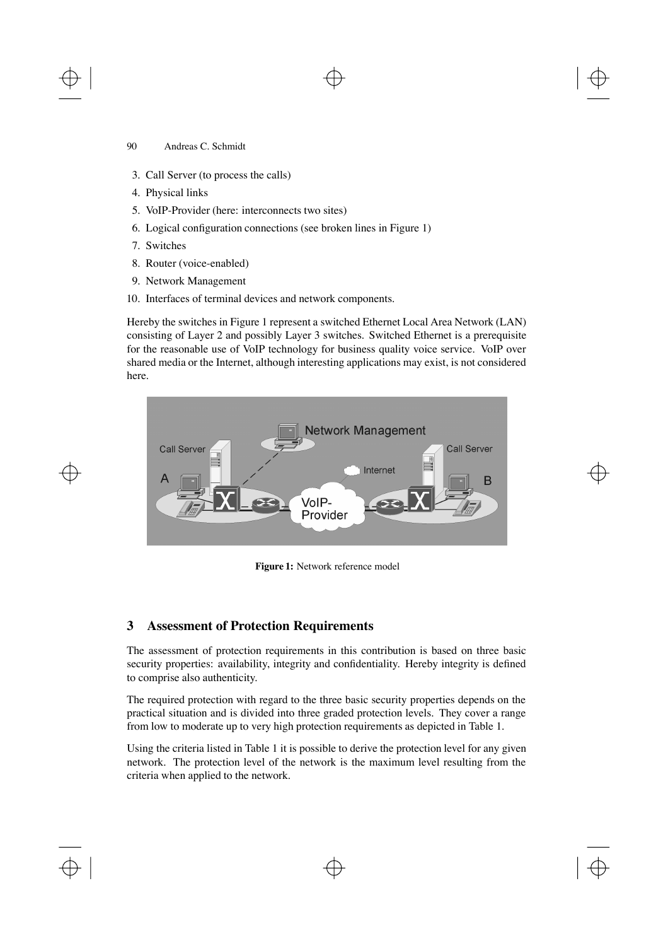- 3. Call Server (to process the calls)
- 4. Physical links
- 5. VoIP-Provider (here: interconnects two sites)
- 6. Logical configuration connections (see broken lines in Figure 1)
- 7. Switches
- 8. Router (voice-enabled)
- 9. Network Management
- 10. Interfaces of terminal devices and network components.

Hereby the switches in Figure 1 represent a switched Ethernet Local Area Network (LAN) consisting of Layer 2 and possibly Layer 3 switches. Switched Ethernet is a prerequisite for the reasonable use of VoIP technology for business quality voice service. VoIP over shared media or the Internet, although interesting applications may exist, is not considered here.



**Figure 1:** Network reference model

# **3 Assessment of Protection Requirements**

The assessment of protection requirements in this contribution is based on three basic security properties: availability, integrity and confidentiality. Hereby integrity is defined to comprise also authenticity.

The required protection with regard to the three basic security properties depends on the practical situation and is divided into three graded protection levels. They cover a range from low to moderate up to very high protection requirements as depicted in Table 1.

Using the criteria listed in Table 1 it is possible to derive the protection level for any given network. The protection level of the network is the maximum level resulting from the criteria when applied to the network.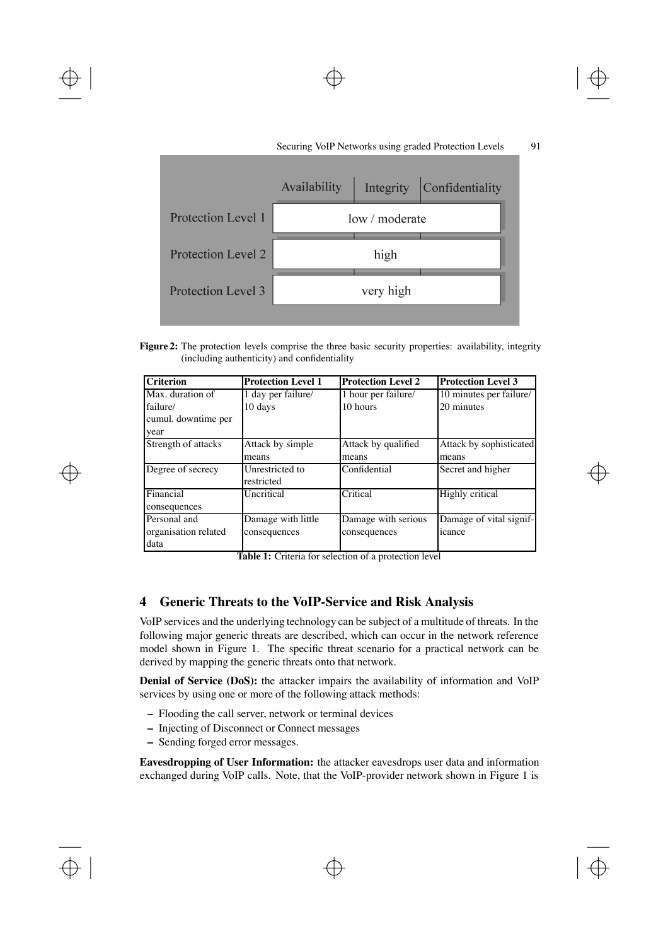

**Figure 2:** The protection levels comprise the three basic security properties: availability, integrity (including authenticity) and confidentiality

| <b>Criterion</b>     | <b>Protection Level 1</b> | <b>Protection Level 2</b> | <b>Protection Level 3</b> |
|----------------------|---------------------------|---------------------------|---------------------------|
| Max. duration of     | 1 day per failure/        | 1 hour per failure/       | 10 minutes per failure/   |
| failure/             | 10 days                   | 10 hours                  | 20 minutes                |
| cumul. downtime per  |                           |                           |                           |
| year                 |                           |                           |                           |
| Strength of attacks  | Attack by simple          | Attack by qualified       | Attack by sophisticated   |
|                      | means                     | means                     | means                     |
| Degree of secrecy    | Unrestricted to           | Confidential              | Secret and higher         |
|                      | restricted                |                           |                           |
| Financial            | Uncritical                | Critical                  | Highly critical           |
| consequences         |                           |                           |                           |
| Personal and         | Damage with little        | Damage with serious       | Damage of vital signif-   |
| organisation related | consequences              | consequences              | icance                    |
| data                 |                           |                           |                           |

**Table 1:** Criteria for selection of a protection level

# **4 Generic Threats to the VoIP-Service and Risk Analysis**

VoIP services and the underlying technology can be subject of a multitude of threats. In the following major generic threats are described, which can occur in the network reference model shown in Figure 1. The specific threat scenario for a practical network can be derived by mapping the generic threats onto that network.

**Denial of Service (DoS):** the attacker impairs the availability of information and VoIP services by using one or more of the following attack methods:

- **–** Flooding the call server, network or terminal devices
- **–** Injecting of Disconnect or Connect messages
- **–** Sending forged error messages.

**Eavesdropping of User Information:** the attacker eavesdrops user data and information exchanged during VoIP calls. Note, that the VoIP-provider network shown in Figure 1 is

 $\oplus$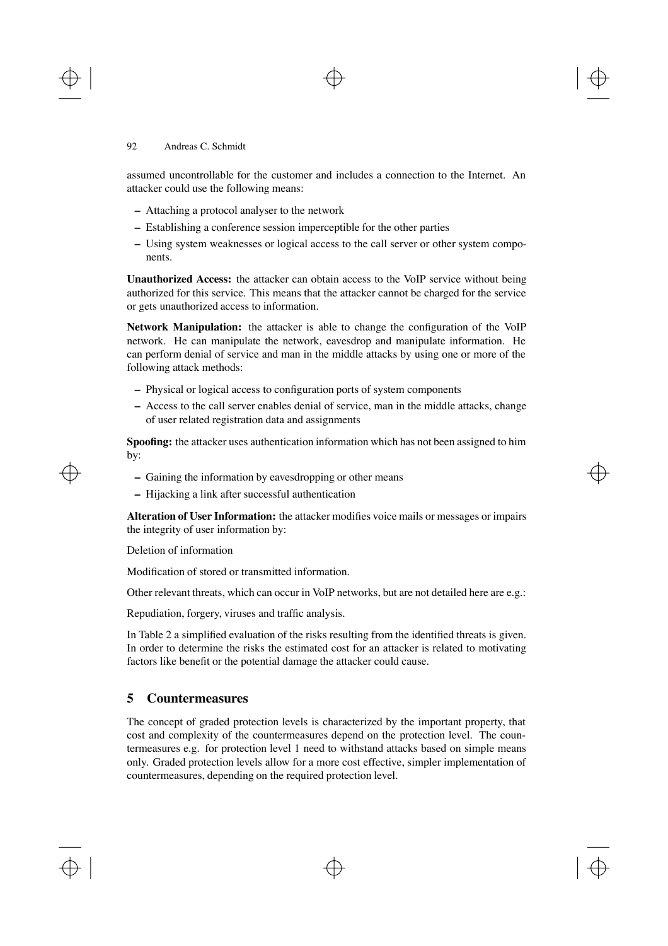assumed uncontrollable for the customer and includes a connection to the Internet. An attacker could use the following means:

- **–** Attaching a protocol analyser to the network
- **–** Establishing a conference session imperceptible for the other parties
- **–** Using system weaknesses or logical access to the call server or other system components.

**Unauthorized Access:** the attacker can obtain access to the VoIP service without being authorized for this service. This means that the attacker cannot be charged for the service or gets unauthorized access to information.

**Network Manipulation:** the attacker is able to change the configuration of the VoIP network. He can manipulate the network, eavesdrop and manipulate information. He can perform denial of service and man in the middle attacks by using one or more of the following attack methods:

- **–** Physical or logical access to configuration ports of system components
- **–** Access to the call server enables denial of service, man in the middle attacks, change of user related registration data and assignments

**Spoofing:** the attacker uses authentication information which has not been assigned to him by:

- **–** Gaining the information by eavesdropping or other means
- **–** Hijacking a link after successful authentication

**Alteration of User Information:** the attacker modifies voice mails or messages or impairs the integrity of user information by:

Deletion of information

Modification of stored or transmitted information.

Other relevant threats, which can occur in VoIP networks, but are not detailed here are e.g.:

Repudiation, forgery, viruses and traffic analysis.

In Table 2 a simplified evaluation of the risks resulting from the identified threats is given. In order to determine the risks the estimated cost for an attacker is related to motivating factors like benefit or the potential damage the attacker could cause.

# **5 Countermeasures**

The concept of graded protection levels is characterized by the important property, that cost and complexity of the countermeasures depend on the protection level. The countermeasures e.g. for protection level 1 need to withstand attacks based on simple means only. Graded protection levels allow for a more cost effective, simpler implementation of countermeasures, depending on the required protection level.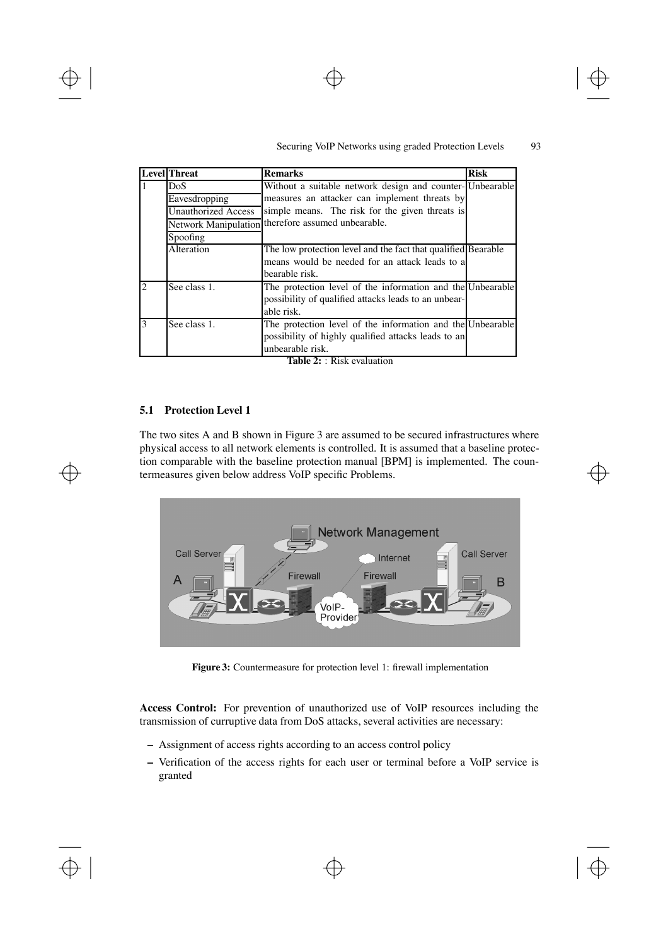# Securing VoIP Networks using graded Protection Levels 93

 $\oplus$ 

 $\oplus$ 

|                | <b>Level</b> Threat                                             | <b>Remarks</b>                                                                                                                        | <b>Risk</b> |
|----------------|-----------------------------------------------------------------|---------------------------------------------------------------------------------------------------------------------------------------|-------------|
|                | Without a suitable network design and counter-Unbearable<br>DoS |                                                                                                                                       |             |
|                | Eavesdropping                                                   | measures an attacker can implement threats by                                                                                         |             |
|                | <b>Unauthorized Access</b>                                      | simple means. The risk for the given threats is                                                                                       |             |
|                | <b>Network Manipulation</b>                                     | therefore assumed unbearable.                                                                                                         |             |
|                | Spoofing                                                        |                                                                                                                                       |             |
|                | Alteration                                                      | The low protection level and the fact that qualified Bearable<br>means would be needed for an attack leads to a<br>bearable risk.     |             |
| $\mathfrak{D}$ | See class 1.                                                    | The protection level of the information and the Unbearable<br>possibility of qualified attacks leads to an unbear-<br>able risk.      |             |
| 3              | See class 1.                                                    | The protection level of the information and the Unbearable<br>possibility of highly qualified attacks leads to an<br>unbearable risk. |             |

**Table 2:** : Risk evaluation

#### **5.1 Protection Level 1**

The two sites A and B shown in Figure 3 are assumed to be secured infrastructures where physical access to all network elements is controlled. It is assumed that a baseline protection comparable with the baseline protection manual [BPM] is implemented. The countermeasures given below address VoIP specific Problems.



**Figure 3:** Countermeasure for protection level 1: firewall implementation

**Access Control:** For prevention of unauthorized use of VoIP resources including the transmission of curruptive data from DoS attacks, several activities are necessary:

- **–** Assignment of access rights according to an access control policy
- **–** Verification of the access rights for each user or terminal before a VoIP service is granted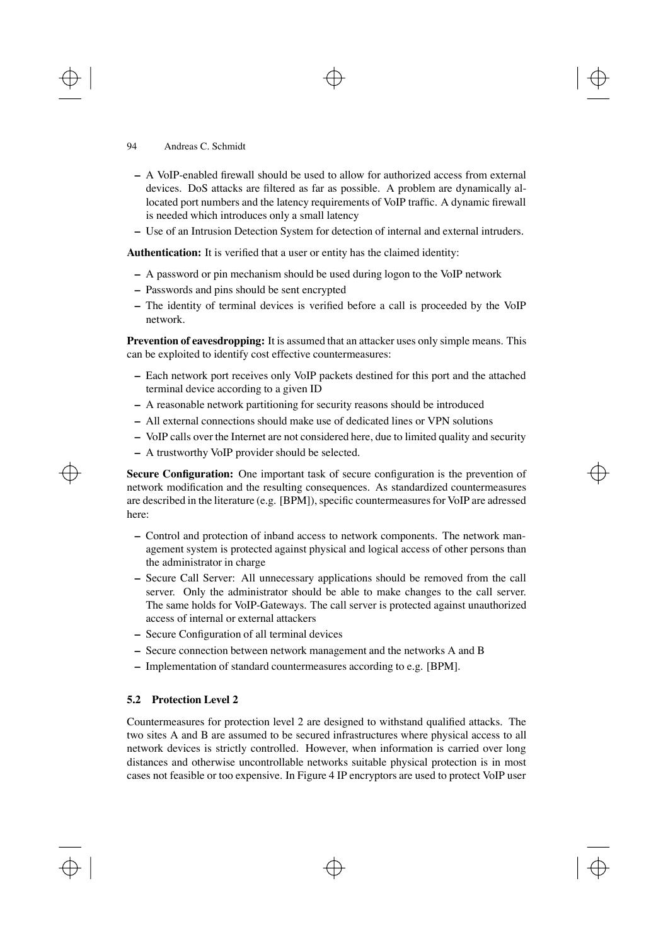- **–** A VoIP-enabled firewall should be used to allow for authorized access from external devices. DoS attacks are filtered as far as possible. A problem are dynamically allocated port numbers and the latency requirements of VoIP traffic. A dynamic firewall is needed which introduces only a small latency
- **–** Use of an Intrusion Detection System for detection of internal and external intruders.

**Authentication:** It is verified that a user or entity has the claimed identity:

- **–** A password or pin mechanism should be used during logon to the VoIP network
- **–** Passwords and pins should be sent encrypted
- **–** The identity of terminal devices is verified before a call is proceeded by the VoIP network.

**Prevention of eavesdropping:** It is assumed that an attacker uses only simple means. This can be exploited to identify cost effective countermeasures:

- **–** Each network port receives only VoIP packets destined for this port and the attached terminal device according to a given ID
- **–** A reasonable network partitioning for security reasons should be introduced
- **–** All external connections should make use of dedicated lines or VPN solutions
- **–** VoIP calls over the Internet are not considered here, due to limited quality and security
- **–** A trustworthy VoIP provider should be selected.

**Secure Configuration:** One important task of secure configuration is the prevention of network modification and the resulting consequences. As standardized countermeasures are described in the literature (e.g. [BPM]), specific countermeasures for VoIP are adressed here:

- **–** Control and protection of inband access to network components. The network management system is protected against physical and logical access of other persons than the administrator in charge
- **–** Secure Call Server: All unnecessary applications should be removed from the call server. Only the administrator should be able to make changes to the call server. The same holds for VoIP-Gateways. The call server is protected against unauthorized access of internal or external attackers
- **–** Secure Configuration of all terminal devices
- **–** Secure connection between network management and the networks A and B
- **–** Implementation of standard countermeasures according to e.g. [BPM].

#### **5.2 Protection Level 2**

Countermeasures for protection level 2 are designed to withstand qualified attacks. The two sites A and B are assumed to be secured infrastructures where physical access to all network devices is strictly controlled. However, when information is carried over long distances and otherwise uncontrollable networks suitable physical protection is in most cases not feasible or too expensive. In Figure 4 IP encryptors are used to protect VoIP user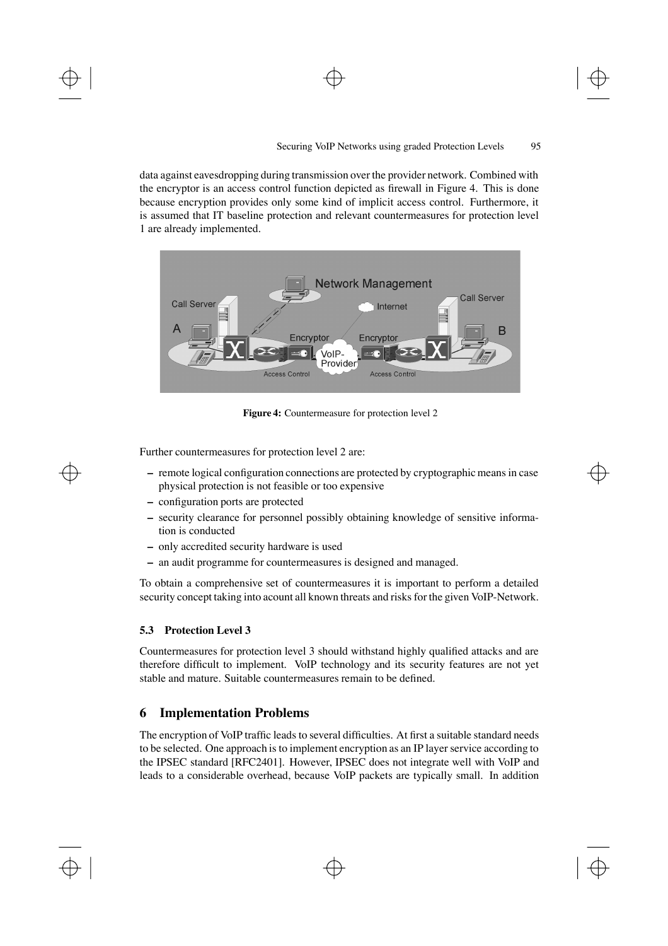data against eavesdropping during transmission over the provider network. Combined with the encryptor is an access control function depicted as firewall in Figure 4. This is done because encryption provides only some kind of implicit access control. Furthermore, it is assumed that IT baseline protection and relevant countermeasures for protection level 1 are already implemented.



**Figure 4:** Countermeasure for protection level 2

Further countermeasures for protection level 2 are:

- **–** remote logical configuration connections are protected by cryptographic means in case physical protection is not feasible or too expensive
- **–** configuration ports are protected
- **–** security clearance for personnel possibly obtaining knowledge of sensitive information is conducted
- **–** only accredited security hardware is used
- **–** an audit programme for countermeasures is designed and managed.

To obtain a comprehensive set of countermeasures it is important to perform a detailed security concept taking into acount all known threats and risks for the given VoIP-Network.

#### **5.3 Protection Level 3**

Countermeasures for protection level 3 should withstand highly qualified attacks and are therefore difficult to implement. VoIP technology and its security features are not yet stable and mature. Suitable countermeasures remain to be defined.

# **6 Implementation Problems**

The encryption of VoIP traffic leads to several difficulties. At first a suitable standard needs to be selected. One approach is to implement encryption as an IP layer service according to the IPSEC standard [RFC2401]. However, IPSEC does not integrate well with VoIP and leads to a considerable overhead, because VoIP packets are typically small. In addition